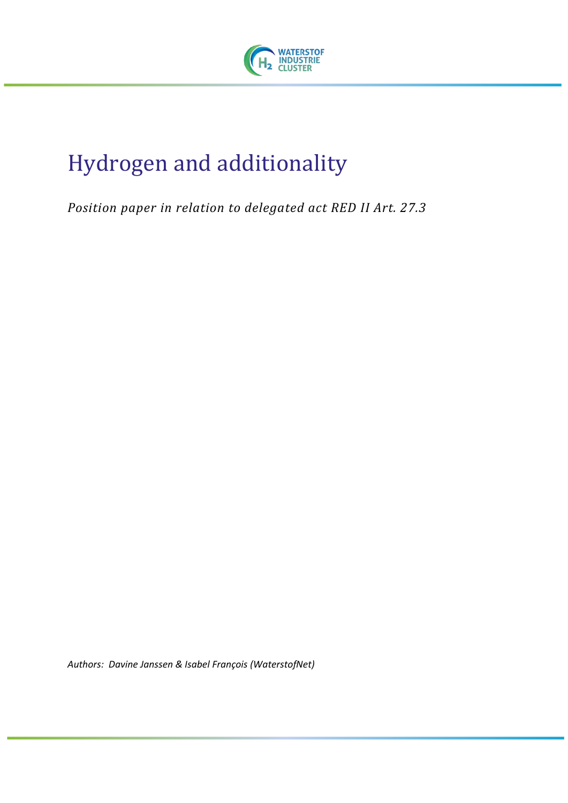

# Hydrogen and additionality

*Position paper in relation to delegated act RED II Art. 27.3*

*Authors: Davine Janssen & Isabel François (WaterstofNet)*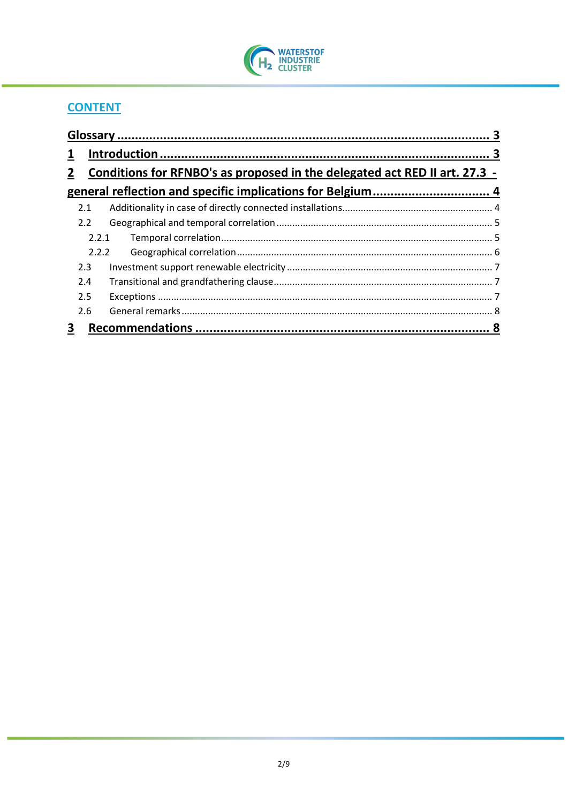

## **CONTENT**

| $\mathbf{1}$ |                                                                            |  |  |
|--------------|----------------------------------------------------------------------------|--|--|
| $\mathbf{2}$ | Conditions for RFNBO's as proposed in the delegated act RED II art. 27.3 - |  |  |
|              |                                                                            |  |  |
| 2.1          |                                                                            |  |  |
| 2.2          |                                                                            |  |  |
|              | 2.2.1                                                                      |  |  |
|              | 2.2.2                                                                      |  |  |
| 2.3          |                                                                            |  |  |
| 2.4          |                                                                            |  |  |
| 2.5          |                                                                            |  |  |
| 2.6          |                                                                            |  |  |
| 3            |                                                                            |  |  |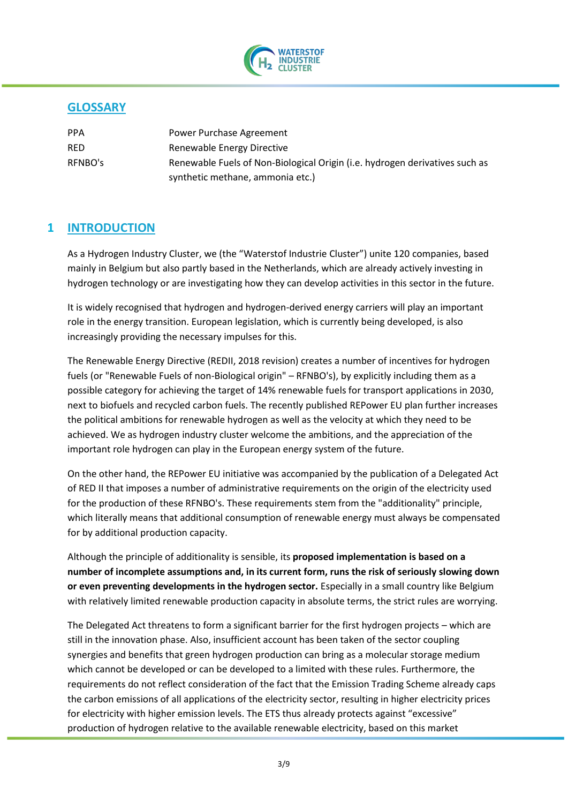

## <span id="page-2-0"></span>**GLOSSARY**

| <b>PPA</b> | Power Purchase Agreement                                                    |
|------------|-----------------------------------------------------------------------------|
| <b>RED</b> | Renewable Energy Directive                                                  |
| RFNBO's    | Renewable Fuels of Non-Biological Origin (i.e. hydrogen derivatives such as |
|            | synthetic methane, ammonia etc.)                                            |

### <span id="page-2-1"></span>**1 INTRODUCTION**

As a Hydrogen Industry Cluster, we (the "Waterstof Industrie Cluster") unite 120 companies, based mainly in Belgium but also partly based in the Netherlands, which are already actively investing in hydrogen technology or are investigating how they can develop activities in this sector in the future.

It is widely recognised that hydrogen and hydrogen-derived energy carriers will play an important role in the energy transition. European legislation, which is currently being developed, is also increasingly providing the necessary impulses for this.

The Renewable Energy Directive (REDII, 2018 revision) creates a number of incentives for hydrogen fuels (or "Renewable Fuels of non-Biological origin" – RFNBO's), by explicitly including them as a possible category for achieving the target of 14% renewable fuels for transport applications in 2030, next to biofuels and recycled carbon fuels. The recently published REPower EU plan further increases the political ambitions for renewable hydrogen as well as the velocity at which they need to be achieved. We as hydrogen industry cluster welcome the ambitions, and the appreciation of the important role hydrogen can play in the European energy system of the future.

On the other hand, the REPower EU initiative was accompanied by the publication of a Delegated Act of RED II that imposes a number of administrative requirements on the origin of the electricity used for the production of these RFNBO's. These requirements stem from the "additionality" principle, which literally means that additional consumption of renewable energy must always be compensated for by additional production capacity.

Although the principle of additionality is sensible, its **proposed implementation is based on a number of incomplete assumptions and, in its current form, runs the risk of seriously slowing down or even preventing developments in the hydrogen sector.** Especially in a small country like Belgium with relatively limited renewable production capacity in absolute terms, the strict rules are worrying.

The Delegated Act threatens to form a significant barrier for the first hydrogen projects – which are still in the innovation phase. Also, insufficient account has been taken of the sector coupling synergies and benefits that green hydrogen production can bring as a molecular storage medium which cannot be developed or can be developed to a limited with these rules. Furthermore, the requirements do not reflect consideration of the fact that the Emission Trading Scheme already caps the carbon emissions of all applications of the electricity sector, resulting in higher electricity prices for electricity with higher emission levels. The ETS thus already protects against "excessive" production of hydrogen relative to the available renewable electricity, based on this market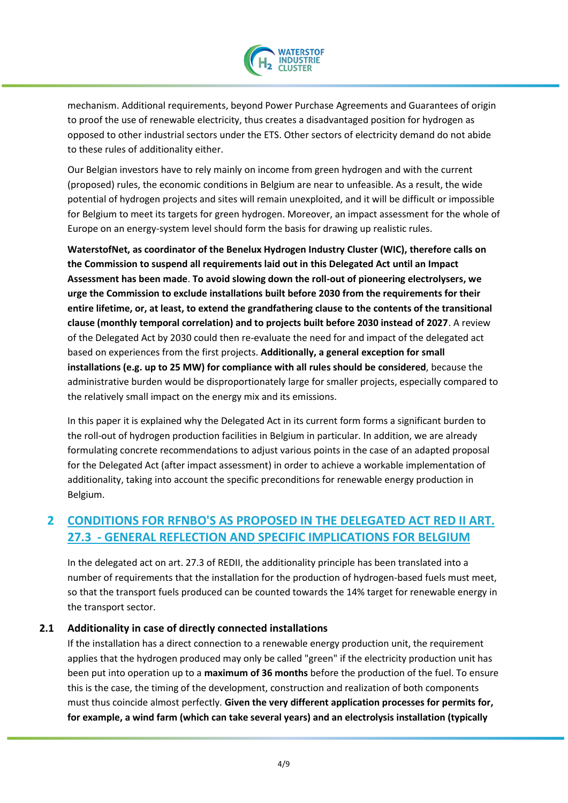

mechanism. Additional requirements, beyond Power Purchase Agreements and Guarantees of origin to proof the use of renewable electricity, thus creates a disadvantaged position for hydrogen as opposed to other industrial sectors under the ETS. Other sectors of electricity demand do not abide to these rules of additionality either.

Our Belgian investors have to rely mainly on income from green hydrogen and with the current (proposed) rules, the economic conditions in Belgium are near to unfeasible. As a result, the wide potential of hydrogen projects and sites will remain unexploited, and it will be difficult or impossible for Belgium to meet its targets for green hydrogen. Moreover, an impact assessment for the whole of Europe on an energy-system level should form the basis for drawing up realistic rules.

**WaterstofNet, as coordinator of the Benelux Hydrogen Industry Cluster (WIC), therefore calls on the Commission to suspend all requirements laid out in this Delegated Act until an Impact Assessment has been made**. **To avoid slowing down the roll-out of pioneering electrolysers, we urge the Commission to exclude installations built before 2030 from the requirements for their entire lifetime, or, at least, to extend the grandfathering clause to the contents of the transitional clause (monthly temporal correlation) and to projects built before 2030 instead of 2027**. A review of the Delegated Act by 2030 could then re-evaluate the need for and impact of the delegated act based on experiences from the first projects. **Additionally, a general exception for small installations (e.g. up to 25 MW) for compliance with all rules should be considered**, because the administrative burden would be disproportionately large for smaller projects, especially compared to the relatively small impact on the energy mix and its emissions.

In this paper it is explained why the Delegated Act in its current form forms a significant burden to the roll-out of hydrogen production facilities in Belgium in particular. In addition, we are already formulating concrete recommendations to adjust various points in the case of an adapted proposal for the Delegated Act (after impact assessment) in order to achieve a workable implementation of additionality, taking into account the specific preconditions for renewable energy production in Belgium.

## <span id="page-3-0"></span>**2 CONDITIONS FOR RFNBO'S AS PROPOSED IN THE DELEGATED ACT RED II ART. 27.3 - GENERAL REFLECTION AND SPECIFIC IMPLICATIONS FOR BELGIUM**

In the delegated act on art. 27.3 of REDII, the additionality principle has been translated into a number of requirements that the installation for the production of hydrogen-based fuels must meet, so that the transport fuels produced can be counted towards the 14% target for renewable energy in the transport sector.

#### **2.1 Additionality in case of directly connected installations**

<span id="page-3-1"></span>If the installation has a direct connection to a renewable energy production unit, the requirement applies that the hydrogen produced may only be called "green" if the electricity production unit has been put into operation up to a **maximum of 36 months** before the production of the fuel. To ensure this is the case, the timing of the development, construction and realization of both components must thus coincide almost perfectly. **Given the very different application processes for permits for, for example, a wind farm (which can take several years) and an electrolysis installation (typically**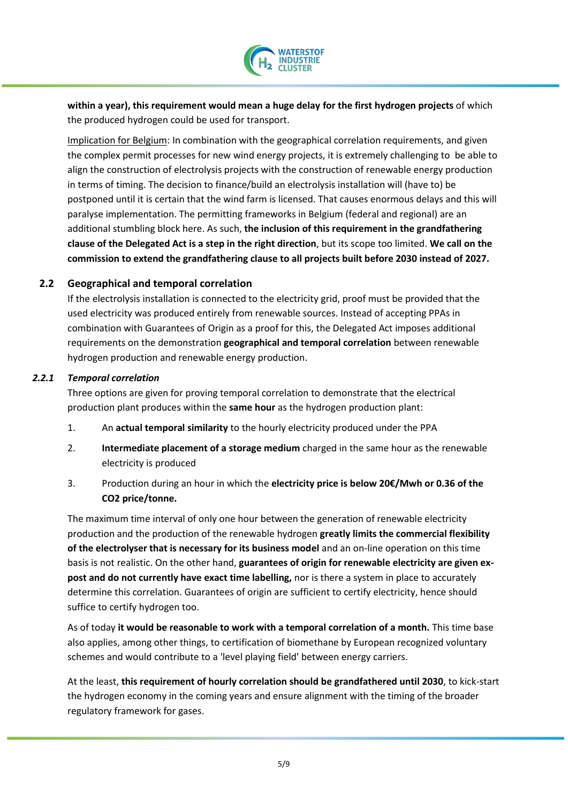

**within a year), this requirement would mean a huge delay for the first hydrogen projects** of which the produced hydrogen could be used for transport.

Implication for Belgium: In combination with the geographical correlation requirements, and given the complex permit processes for new wind energy projects, it is extremely challenging to be able to align the construction of electrolysis projects with the construction of renewable energy production in terms of timing. The decision to finance/build an electrolysis installation will (have to) be postponed until it is certain that the wind farm is licensed. That causes enormous delays and this will paralyse implementation. The permitting frameworks in Belgium (federal and regional) are an additional stumbling block here. As such, **the inclusion of this requirement in the grandfathering clause of the Delegated Act is a step in the right direction**, but its scope too limited. **We call on the commission to extend the grandfathering clause to all projects built before 2030 instead of 2027.**

#### **2.2 Geographical and temporal correlation**

<span id="page-4-0"></span>If the electrolysis installation is connected to the electricity grid, proof must be provided that the used electricity was produced entirely from renewable sources. Instead of accepting PPAs in combination with Guarantees of Origin as a proof for this, the Delegated Act imposes additional requirements on the demonstration **geographical and temporal correlation** between renewable hydrogen production and renewable energy production.

#### *2.2.1 Temporal correlation*

<span id="page-4-1"></span>Three options are given for proving temporal correlation to demonstrate that the electrical production plant produces within the **same hour** as the hydrogen production plant:

- 1. An **actual temporal similarity** to the hourly electricity produced under the PPA
- 2. **Intermediate placement of a storage medium** charged in the same hour as the renewable electricity is produced
- 3. Production during an hour in which the **electricity price is below 20€/Mwh or 0.36 of the CO2 price/tonne.**

The maximum time interval of only one hour between the generation of renewable electricity production and the production of the renewable hydrogen **greatly limits the commercial flexibility of the electrolyser that is necessary for its business model** and an on-line operation on this time basis is not realistic. On the other hand, **guarantees of origin for renewable electricity are given expost and do not currently have exact time labelling,** nor is there a system in place to accurately determine this correlation. Guarantees of origin are sufficient to certify electricity, hence should suffice to certify hydrogen too.

As of today **it would be reasonable to work with a temporal correlation of a month.** This time base also applies, among other things, to certification of biomethane by European recognized voluntary schemes and would contribute to a 'level playing field' between energy carriers.

At the least, **this requirement of hourly correlation should be grandfathered until 2030**, to kick-start the hydrogen economy in the coming years and ensure alignment with the timing of the broader regulatory framework for gases.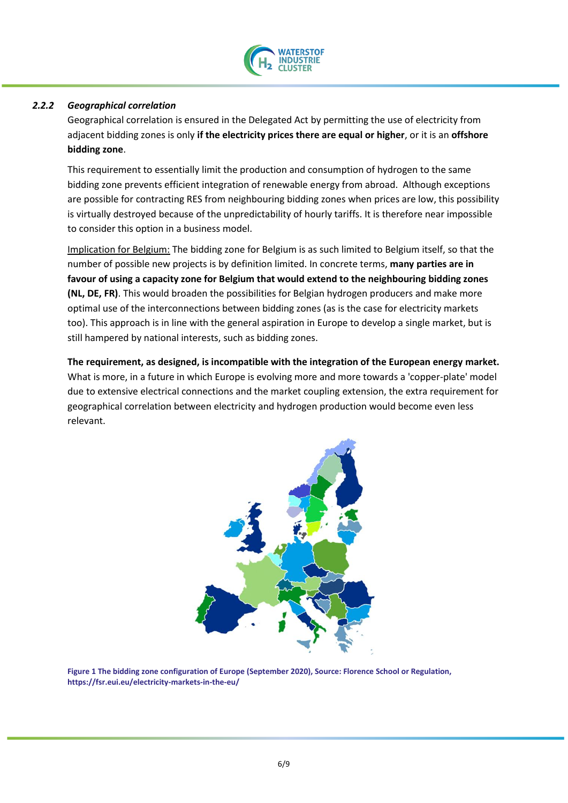

#### *2.2.2 Geographical correlation*

<span id="page-5-0"></span>Geographical correlation is ensured in the Delegated Act by permitting the use of electricity from adjacent bidding zones is only **if the electricity prices there are equal or higher**, or it is an **offshore bidding zone**.

This requirement to essentially limit the production and consumption of hydrogen to the same bidding zone prevents efficient integration of renewable energy from abroad. Although exceptions are possible for contracting RES from neighbouring bidding zones when prices are low, this possibility is virtually destroyed because of the unpredictability of hourly tariffs. It is therefore near impossible to consider this option in a business model.

Implication for Belgium: The bidding zone for Belgium is as such limited to Belgium itself, so that the number of possible new projects is by definition limited. In concrete terms, **many parties are in favour of using a capacity zone for Belgium that would extend to the neighbouring bidding zones (NL, DE, FR)**. This would broaden the possibilities for Belgian hydrogen producers and make more optimal use of the interconnections between bidding zones (as is the case for electricity markets too). This approach is in line with the general aspiration in Europe to develop a single market, but is still hampered by national interests, such as bidding zones.

**The requirement, as designed, is incompatible with the integration of the European energy market.** What is more, in a future in which Europe is evolving more and more towards a 'copper-plate' model due to extensive electrical connections and the market coupling extension, the extra requirement for geographical correlation between electricity and hydrogen production would become even less relevant.



**Figure 1 The bidding zone configuration of Europe (September 2020), Source: Florence School or Regulation, https://fsr.eui.eu/electricity-markets-in-the-eu/**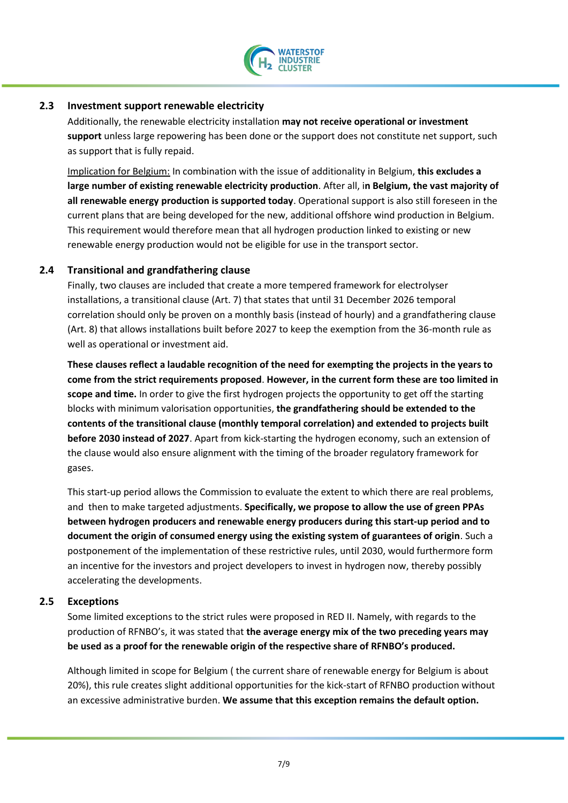

#### **2.3 Investment support renewable electricity**

<span id="page-6-0"></span>Additionally, the renewable electricity installation **may not receive operational or investment support** unless large repowering has been done or the support does not constitute net support, such as support that is fully repaid.

Implication for Belgium: In combination with the issue of additionality in Belgium, **this excludes a large number of existing renewable electricity production**. After all, i**n Belgium, the vast majority of all renewable energy production is supported today**. Operational support is also still foreseen in the current plans that are being developed for the new, additional offshore wind production in Belgium. This requirement would therefore mean that all hydrogen production linked to existing or new renewable energy production would not be eligible for use in the transport sector.

#### **2.4 Transitional and grandfathering clause**

<span id="page-6-1"></span>Finally, two clauses are included that create a more tempered framework for electrolyser installations, a transitional clause (Art. 7) that states that until 31 December 2026 temporal correlation should only be proven on a monthly basis (instead of hourly) and a grandfathering clause (Art. 8) that allows installations built before 2027 to keep the exemption from the 36-month rule as well as operational or investment aid.

**These clauses reflect a laudable recognition of the need for exempting the projects in the years to come from the strict requirements proposed**. **However, in the current form these are too limited in scope and time.** In order to give the first hydrogen projects the opportunity to get off the starting blocks with minimum valorisation opportunities, **the grandfathering should be extended to the contents of the transitional clause (monthly temporal correlation) and extended to projects built before 2030 instead of 2027**. Apart from kick-starting the hydrogen economy, such an extension of the clause would also ensure alignment with the timing of the broader regulatory framework for gases.

This start-up period allows the Commission to evaluate the extent to which there are real problems, and then to make targeted adjustments. **Specifically, we propose to allow the use of green PPAs between hydrogen producers and renewable energy producers during this start-up period and to document the origin of consumed energy using the existing system of guarantees of origin**. Such a postponement of the implementation of these restrictive rules, until 2030, would furthermore form an incentive for the investors and project developers to invest in hydrogen now, thereby possibly accelerating the developments.

#### **2.5 Exceptions**

<span id="page-6-2"></span>Some limited exceptions to the strict rules were proposed in RED II. Namely, with regards to the production of RFNBO's, it was stated that **the average energy mix of the two preceding years may be used as a proof for the renewable origin of the respective share of RFNBO's produced.** 

Although limited in scope for Belgium ( the current share of renewable energy for Belgium is about 20%), this rule creates slight additional opportunities for the kick-start of RFNBO production without an excessive administrative burden. **We assume that this exception remains the default option.**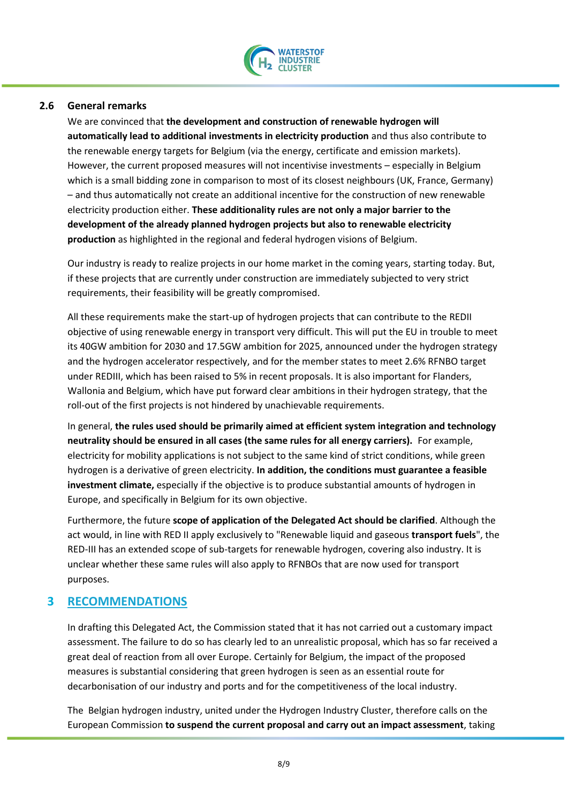

#### **2.6 General remarks**

<span id="page-7-0"></span>We are convinced that **the development and construction of renewable hydrogen will automatically lead to additional investments in electricity production** and thus also contribute to the renewable energy targets for Belgium (via the energy, certificate and emission markets). However, the current proposed measures will not incentivise investments – especially in Belgium which is a small bidding zone in comparison to most of its closest neighbours (UK, France, Germany) – and thus automatically not create an additional incentive for the construction of new renewable electricity production either. **These additionality rules are not only a major barrier to the development of the already planned hydrogen projects but also to renewable electricity production** as highlighted in the regional and federal hydrogen visions of Belgium.

Our industry is ready to realize projects in our home market in the coming years, starting today. But, if these projects that are currently under construction are immediately subjected to very strict requirements, their feasibility will be greatly compromised.

All these requirements make the start-up of hydrogen projects that can contribute to the REDII objective of using renewable energy in transport very difficult. This will put the EU in trouble to meet its 40GW ambition for 2030 and 17.5GW ambition for 2025, announced under the hydrogen strategy and the hydrogen accelerator respectively, and for the member states to meet 2.6% RFNBO target under REDIII, which has been raised to 5% in recent proposals. It is also important for Flanders, Wallonia and Belgium, which have put forward clear ambitions in their hydrogen strategy, that the roll-out of the first projects is not hindered by unachievable requirements.

In general, **the rules used should be primarily aimed at efficient system integration and technology neutrality should be ensured in all cases (the same rules for all energy carriers).** For example, electricity for mobility applications is not subject to the same kind of strict conditions, while green hydrogen is a derivative of green electricity. **In addition, the conditions must guarantee a feasible investment climate,** especially if the objective is to produce substantial amounts of hydrogen in Europe, and specifically in Belgium for its own objective.

Furthermore, the future **scope of application of the Delegated Act should be clarified**. Although the act would, in line with RED II apply exclusively to "Renewable liquid and gaseous **transport fuels**", the RED-III has an extended scope of sub-targets for renewable hydrogen, covering also industry. It is unclear whether these same rules will also apply to RFNBOs that are now used for transport purposes.

#### <span id="page-7-1"></span>**3 RECOMMENDATIONS**

In drafting this Delegated Act, the Commission stated that it has not carried out a customary impact assessment. The failure to do so has clearly led to an unrealistic proposal, which has so far received a great deal of reaction from all over Europe. Certainly for Belgium, the impact of the proposed measures is substantial considering that green hydrogen is seen as an essential route for decarbonisation of our industry and ports and for the competitiveness of the local industry.

The Belgian hydrogen industry, united under the Hydrogen Industry Cluster, therefore calls on the European Commission **to suspend the current proposal and carry out an impact assessment**, taking